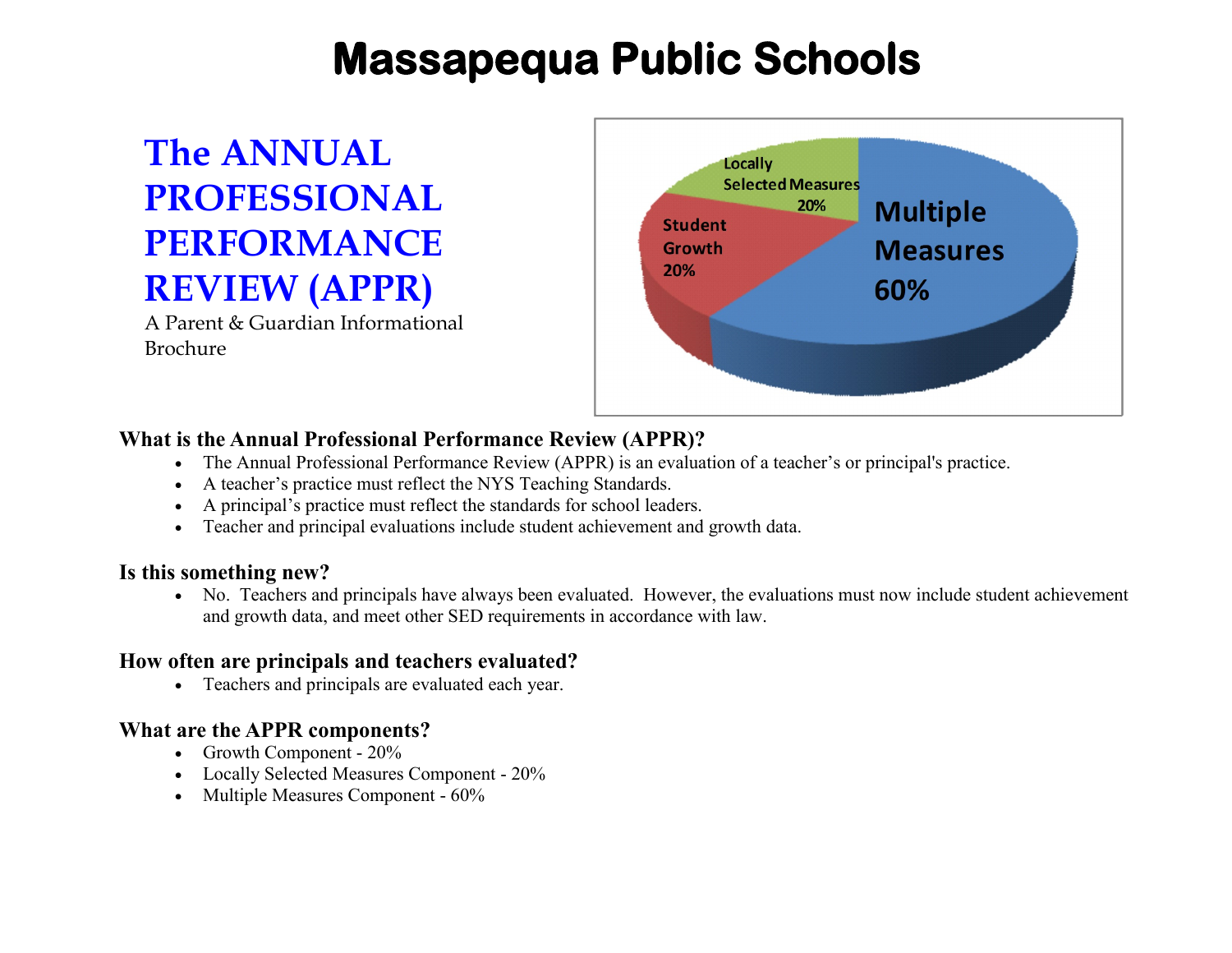# **Massapequa Public Schools**

## **The ANNUAL PROFESSIONAL PERFORMANCE REVIEW (APPR)**

A Parent & Guardian Informational Brochure



## **What is the Annual Professional Performance Review (APPR)?**

- The Annual Professional Performance Review (APPR) is an evaluation of a teacher's or principal's practice.
- A teacher's practice must reflect the NYS Teaching Standards.
- A principal's practice must reflect the standards for school leaders.
- Teacher and principal evaluations include student achievement and growth data.

## **Is this something new?**

 No. Teachers and principals have always been evaluated. However, the evaluations must now include student achievement and growth data, and meet other SED requirements in accordance with law.

## **How often are principals and teachers evaluated?**

Teachers and principals are evaluated each year.

## **What are the APPR components?**

- Growth Component  $20\%$
- Locally Selected Measures Component 20%
- Multiple Measures Component 60%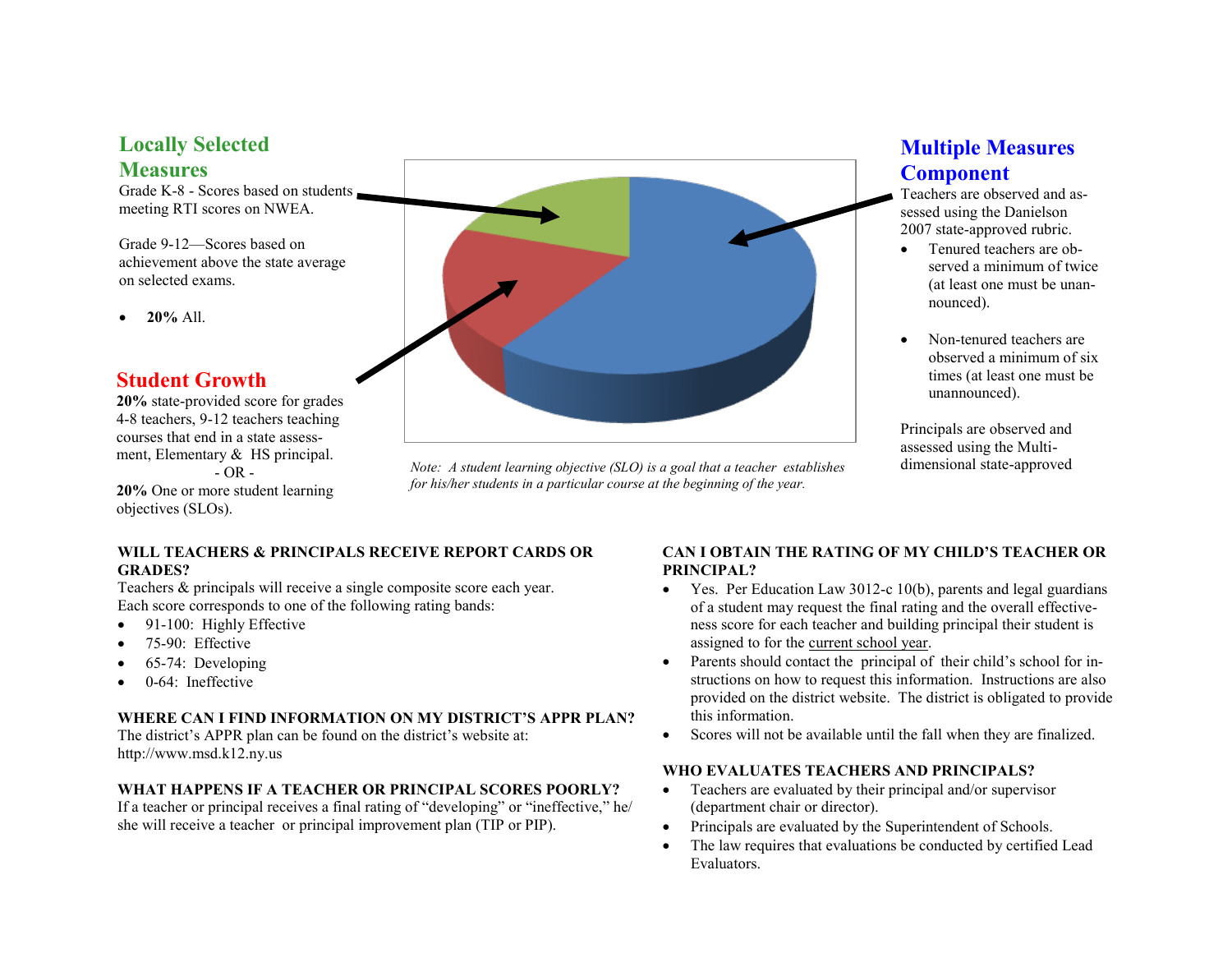#### **Locally Selected Measures**

Grade K-8 - Scores based on students meeting RTI scores on NWEA.

Grade 9-12—Scores based on achievement above the state average on selected exams.

**20%** All.

### **Student Growth**

**20%** state-provided score for grades 4-8 teachers, 9-12 teachers teaching courses that end in a state assessment, Elementary & HS principal.  $- OR -$ **20%** One or more student learning

objectives (SLOs).

#### **WILL TEACHERS & PRINCIPALS RECEIVE REPORT CARDS OR GRADES?**

Teachers & principals will receive a single composite score each year. Each score corresponds to one of the following rating bands:

- 91-100: Highly Effective
- 75-90: Effective
- 65-74: Developing
- 0-64: Ineffective

#### **WHERE CAN I FIND INFORMATION ON MY DISTRICT'S APPR PLAN?**

The district's APPR plan can be found on the district's website at: http://www.msd.k12.ny.us

#### **WHAT HAPPENS IF A TEACHER OR PRINCIPAL SCORES POORLY?**

If a teacher or principal receives a final rating of "developing" or "ineffective," he/ she will receive a teacher or principal improvement plan (TIP or PIP).



*Note: A student learning objective (SLO) is a goal that a teacher establishes for his/her students in a particular course at the beginning of the year.*

## **Multiple Measures Component**

Teachers are observed and assessed using the Danielson 2007 state-approved rubric.

- Tenured teachers are observed a minimum of twice (at least one must be unannounced).
- Non-tenured teachers are observed a minimum of six times (at least one must be unannounced).

Principals are observed and assessed using the Multidimensional state-approved

#### **CAN I OBTAIN THE RATING OF MY CHILD'S TEACHER OR PRINCIPAL?**

- Yes. Per Education Law 3012-c 10(b), parents and legal guardians of a student may request the final rating and the overall effectiveness score for each teacher and building principal their student is assigned to for the current school year.
- Parents should contact the principal of their child's school for instructions on how to request this information. Instructions are also provided on the district website. The district is obligated to provide this information.
- Scores will not be available until the fall when they are finalized.

#### **WHO EVALUATES TEACHERS AND PRINCIPALS?**

- Teachers are evaluated by their principal and/or supervisor (department chair or director).
- Principals are evaluated by the Superintendent of Schools.
- The law requires that evaluations be conducted by certified Lead Evaluators.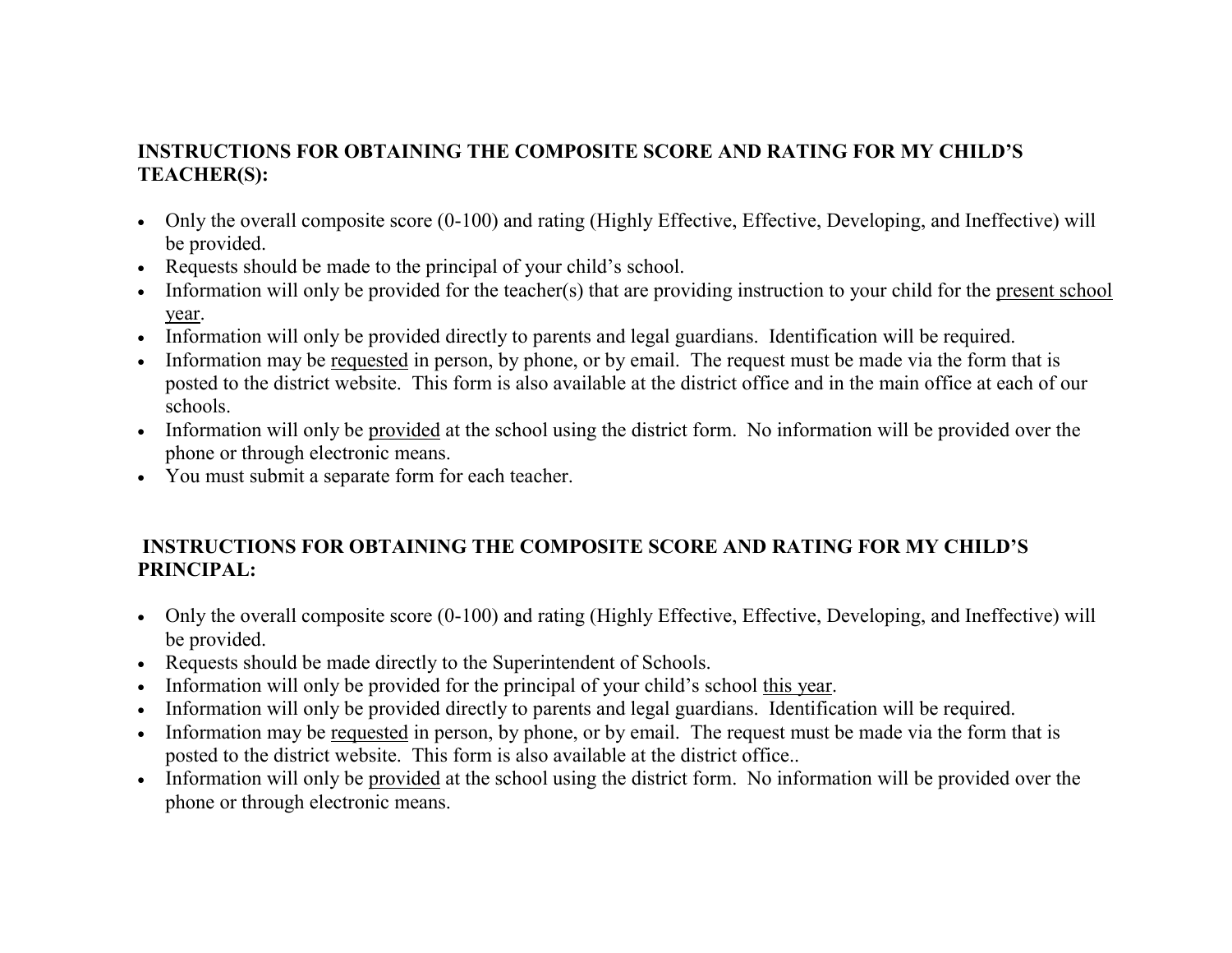## **INSTRUCTIONS FOR OBTAINING THE COMPOSITE SCORE AND RATING FOR MY CHILD'S TEACHER(S):**

- Only the overall composite score (0-100) and rating (Highly Effective, Effective, Developing, and Ineffective) will be provided.
- Requests should be made to the principal of your child's school.
- Information will only be provided for the teacher(s) that are providing instruction to your child for the present school year.
- Information will only be provided directly to parents and legal guardians. Identification will be required.
- Information may be requested in person, by phone, or by email. The request must be made via the form that is posted to the district website. This form is also available at the district office and in the main office at each of our schools.
- Information will only be provided at the school using the district form. No information will be provided over the phone or through electronic means.
- You must submit a separate form for each teacher.

## **INSTRUCTIONS FOR OBTAINING THE COMPOSITE SCORE AND RATING FOR MY CHILD'S PRINCIPAL:**

- Only the overall composite score (0-100) and rating (Highly Effective, Effective, Developing, and Ineffective) will be provided.
- Requests should be made directly to the Superintendent of Schools.
- Information will only be provided for the principal of your child's school this year.
- Information will only be provided directly to parents and legal guardians. Identification will be required.
- Information may be requested in person, by phone, or by email. The request must be made via the form that is posted to the district website. This form is also available at the district office..
- Information will only be provided at the school using the district form. No information will be provided over the phone or through electronic means.